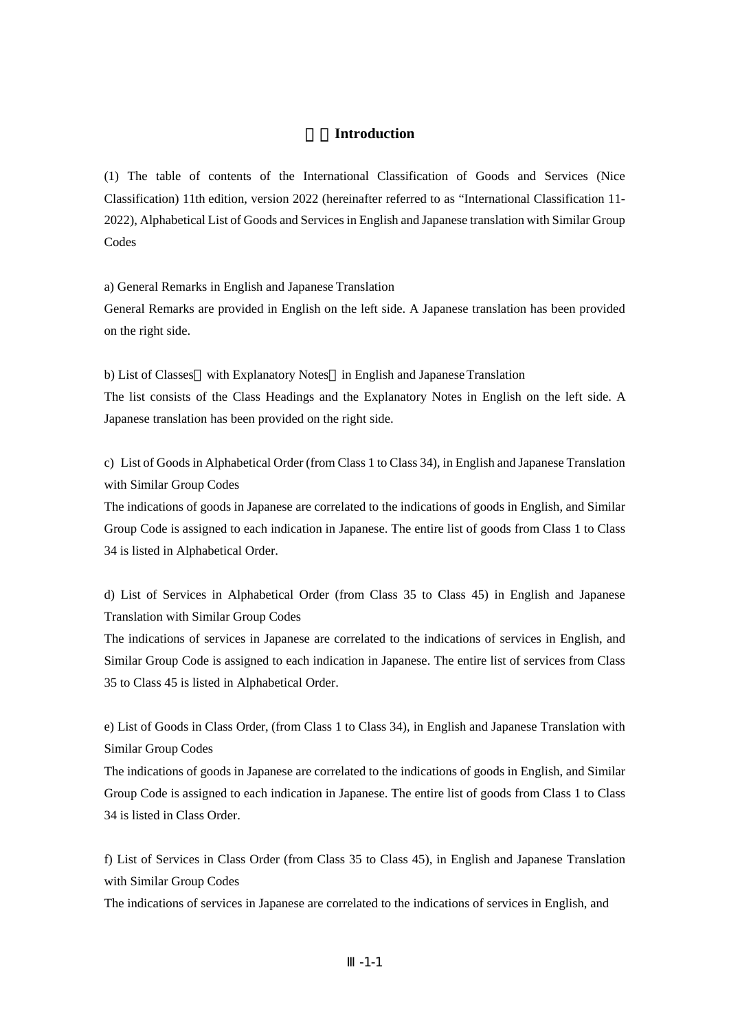## 1.**Introduction**

(1) The table of contents of the International Classification of Goods and Services (Nice Classification) 11th edition, version 2022 (hereinafter referred to as "International Classification 11- 2022), Alphabetical List of Goods and Services in English and Japanese translation with Similar Group Codes

a) General Remarks in English and Japanese Translation

General Remarks are provided in English on the left side. A Japanese translation has been provided on the right side.

b) List of Classes with Explanatory Notes in English and Japanese Translation The list consists of the Class Headings and the Explanatory Notes in English on the left side. A Japanese translation has been provided on the right side.

c) List of Goods in Alphabetical Order (from Class 1 to Class 34), in English and Japanese Translation with Similar Group Codes

The indications of goods in Japanese are correlated to the indications of goods in English, and Similar Group Code is assigned to each indication in Japanese. The entire list of goods from Class 1 to Class 34 is listed in Alphabetical Order.

d) List of Services in Alphabetical Order (from Class 35 to Class 45) in English and Japanese Translation with Similar Group Codes

The indications of services in Japanese are correlated to the indications of services in English, and Similar Group Code is assigned to each indication in Japanese. The entire list of services from Class 35 to Class 45 is listed in Alphabetical Order.

e) List of Goods in Class Order, (from Class 1 to Class 34), in English and Japanese Translation with Similar Group Codes

The indications of goods in Japanese are correlated to the indications of goods in English, and Similar Group Code is assigned to each indication in Japanese. The entire list of goods from Class 1 to Class 34 is listed in Class Order.

f) List of Services in Class Order (from Class 35 to Class 45), in English and Japanese Translation with Similar Group Codes

The indications of services in Japanese are correlated to the indications of services in English, and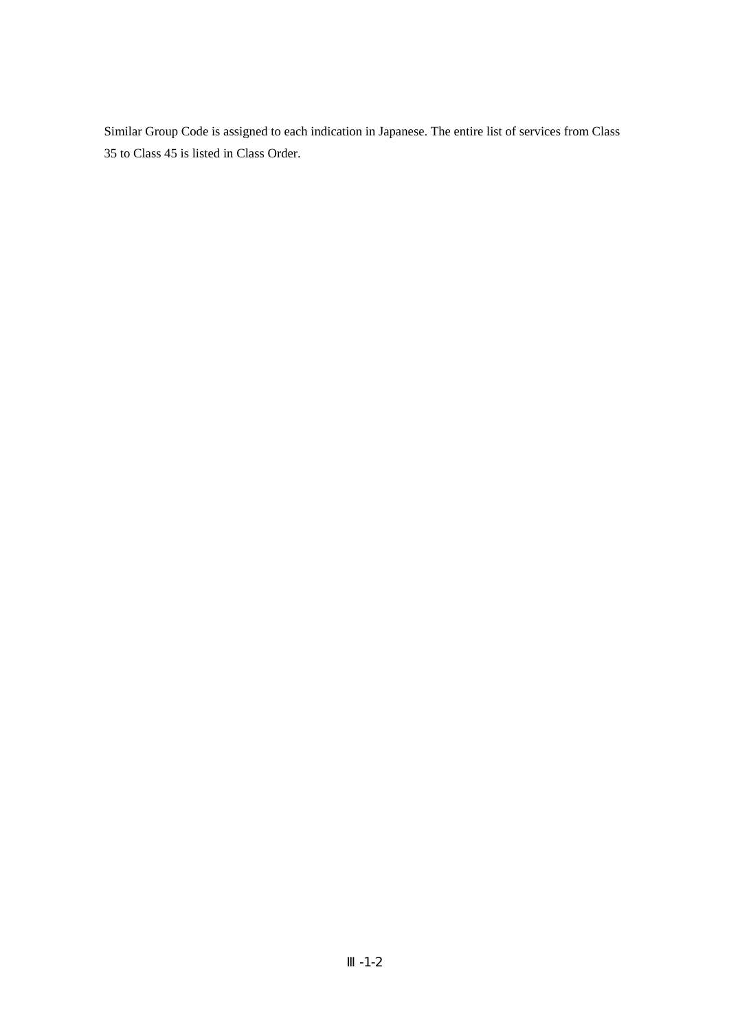Similar Group Code is assigned to each indication in Japanese. The entire list of services from Class 35 to Class 45 is listed in Class Order.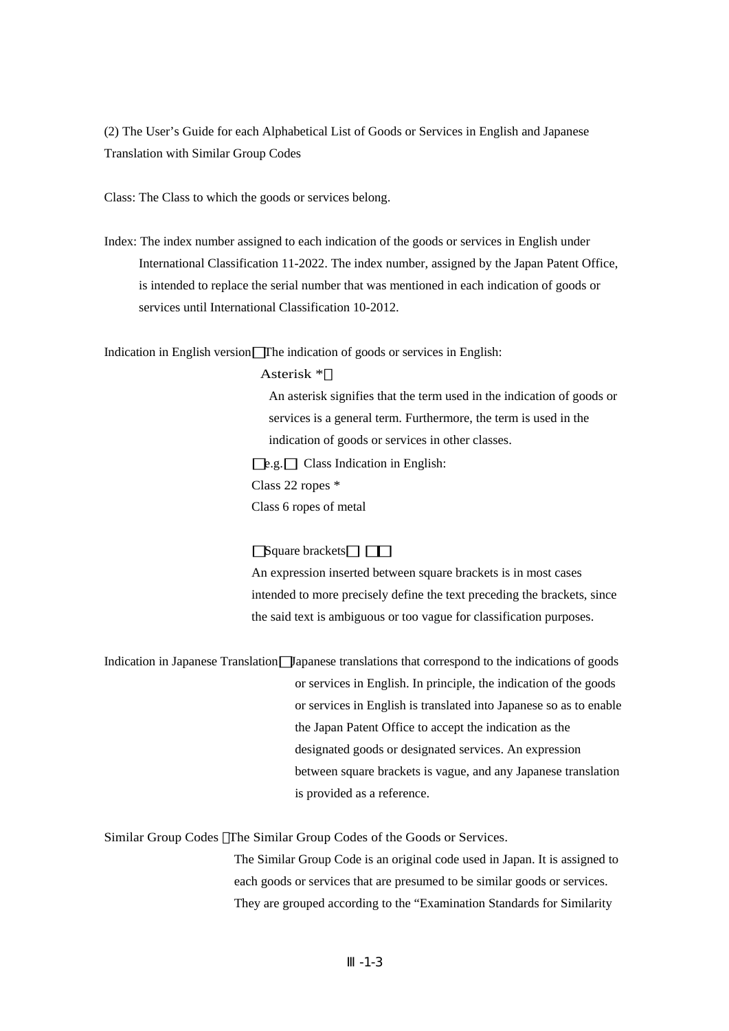(2) The User's Guide for each Alphabetical List of Goods or Services in English and Japanese Translation with Similar Group Codes

Class: The Class to which the goods or services belong.

Index: The index number assigned to each indication of the goods or services in English under International Classification 11-2022. The index number, assigned by the Japan Patent Office, is intended to replace the serial number that was mentioned in each indication of goods or services until International Classification 10-2012.

Indication in English version The indication of goods or services in English:

## Asterisk \*

An asterisk signifies that the term used in the indication of goods or services is a general term. Furthermore, the term is used in the indication of goods or services in other classes. e.g. Class Indication in English:

Class 22 ropes \*

Class 6 ropes of metal

## Square brackets

An expression inserted between square brackets is in most cases intended to more precisely define the text preceding the brackets, since the said text is ambiguous or too vague for classification purposes.

Indication in Japanese Translation Japanese translations that correspond to the indications of goods or services in English. In principle, the indication of the goods or services in English is translated into Japanese so as to enable the Japan Patent Office to accept the indication as the designated goods or designated services. An expression between square brackets is vague, and any Japanese translation is provided as a reference.

Similar Group Codes The Similar Group Codes of the Goods or Services. The Similar Group Code is an original code used in Japan. It is assigned to each goods or services that are presumed to be similar goods or services. They are grouped according to the "Examination Standards for Similarity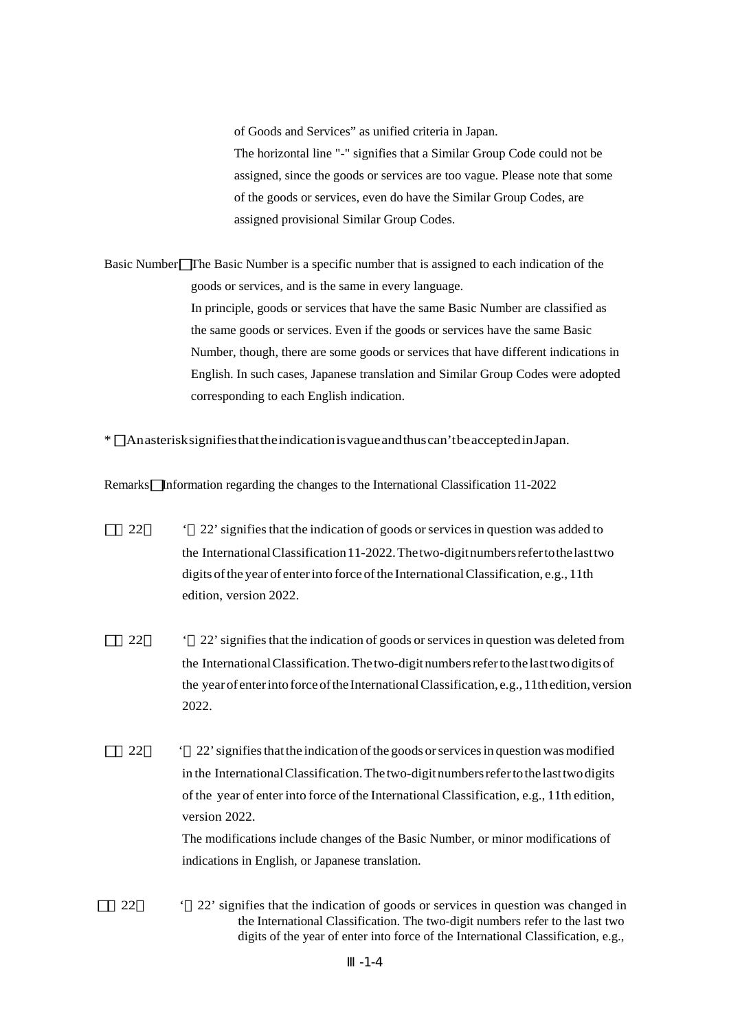of Goods and Services" as unified criteria in Japan. The horizontal line "-" signifies that a Similar Group Code could not be assigned, since the goods or services are too vague. Please note that some of the goods or services, even do have the Similar Group Codes, are assigned provisional Similar Group Codes.

Basic Number The Basic Number is a specific number that is assigned to each indication of the goods or services, and is the same in every language. In principle, goods or services that have the same Basic Number are classified as the same goods or services. Even if the goods or services have the same Basic Number, though, there are some goods or services that have different indications in English. In such cases, Japanese translation and Similar Group Codes were adopted corresponding to each English indication.

\* : An asterisk signifies that the indication is vague and thus can't be accepted in Japan.

Remarks Information regarding the changes to the International Classification 11-2022

- 22  $\cdot$  22' signifies that the indication of goods or services in question was added to the International Classification 11-2022. The two-digit numbers refer to the last two digits of the year of enter into force of the International Classification, e.g., 11th edition, version 2022.
- 22 <sup>22</sup> signifies that the indication of goods or services in question was deleted from the International Classification. The two-digit numbers refer to the last two digits of the year of enter into force of the International Classification, e.g., 11th edition, version 2022.
- 22 <sup>22</sup> 22' signifies that the indication of the goods or services in question was modified in the International Classification. The two-digit numbers refer to the last two digits of the year of enter into force of the International Classification, e.g., 11th edition, version 2022. The modifications include changes of the Basic Number, or minor modifications of

indications in English, or Japanese translation.

22 <sup>22</sup>: signifies that the indication of goods or services in question was changed in the International Classification. The two-digit numbers refer to the last two digits of the year of enter into force of the International Classification, e.g.,